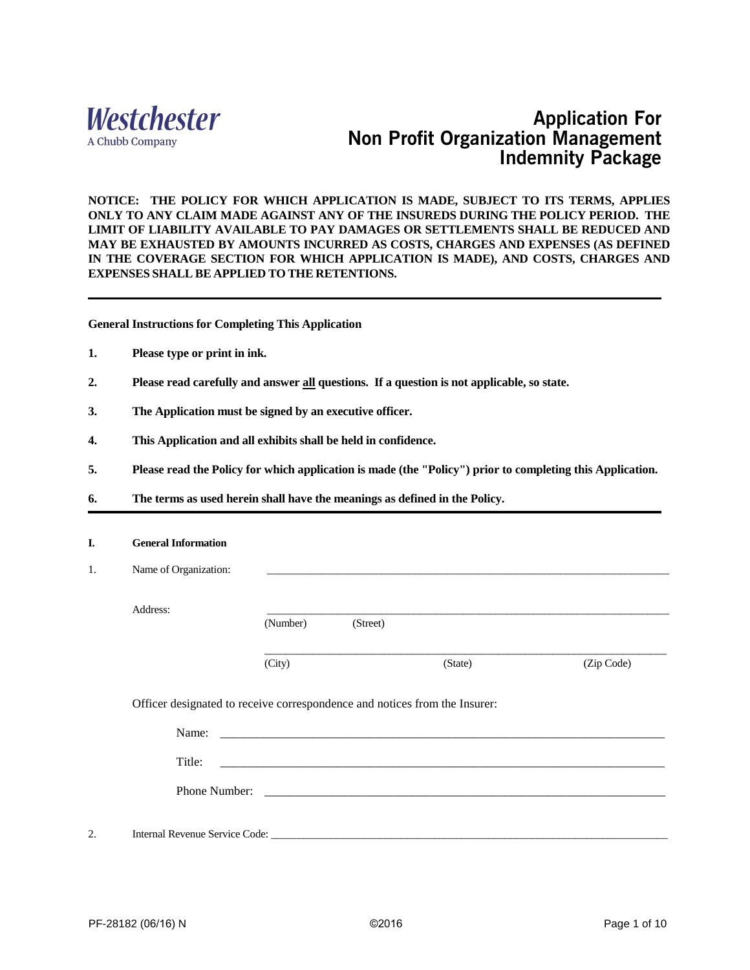

## **Application For Non Profit Organization Management Indemnity Package**

**NOTICE: THE POLICY FOR WHICH APPLICATION IS MADE, SUBJECT TO ITS TERMS, APPLIES ONLY TO ANY CLAIM MADE AGAINST ANY OF THE INSUREDS DURING THE POLICY PERIOD. THE LIMIT OF LIABILITY AVAILABLE TO PAY DAMAGES OR SETTLEMENTS SHALL BE REDUCED AND MAY BE EXHAUSTED BY AMOUNTS INCURRED AS COSTS, CHARGES AND EXPENSES (AS DEFINED IN THE COVERAGE SECTION FOR WHICH APPLICATION IS MADE), AND COSTS, CHARGES AND EXPENSES SHALL BE APPLIED TO THE RETENTIONS.** 

**General Instructions for Completing This Application**

- **1. Please type or print in ink.**
- **2. Please read carefully and answer all questions. If a question is not applicable, so state.**
- **3. The Application must be signed by an executive officer.**
- **4. This Application and all exhibits shall be held in confidence.**
- **5. Please read the Policy for which application is made (the "Policy") prior to completing this Application.**
- **6. The terms as used herein shall have the meanings as defined in the Policy.**

| I. | <b>General Information</b>                                                 |          |          |                                                                                                                                                                                                                               |            |
|----|----------------------------------------------------------------------------|----------|----------|-------------------------------------------------------------------------------------------------------------------------------------------------------------------------------------------------------------------------------|------------|
| 1. | Name of Organization:                                                      |          |          | the control of the control of the control of the control of the control of the control of the control of the control of the control of the control of the control of the control of the control of the control of the control |            |
|    | Address:                                                                   |          |          |                                                                                                                                                                                                                               |            |
|    |                                                                            | (Number) | (Street) |                                                                                                                                                                                                                               |            |
|    |                                                                            | (City)   |          | (State)                                                                                                                                                                                                                       | (Zip Code) |
|    | Officer designated to receive correspondence and notices from the Insurer: |          |          |                                                                                                                                                                                                                               |            |
|    | Name:                                                                      |          |          |                                                                                                                                                                                                                               |            |
|    | Title:                                                                     |          |          |                                                                                                                                                                                                                               |            |
|    |                                                                            |          |          |                                                                                                                                                                                                                               |            |
| 2. | Internal Revenue Service Code: _                                           |          |          |                                                                                                                                                                                                                               |            |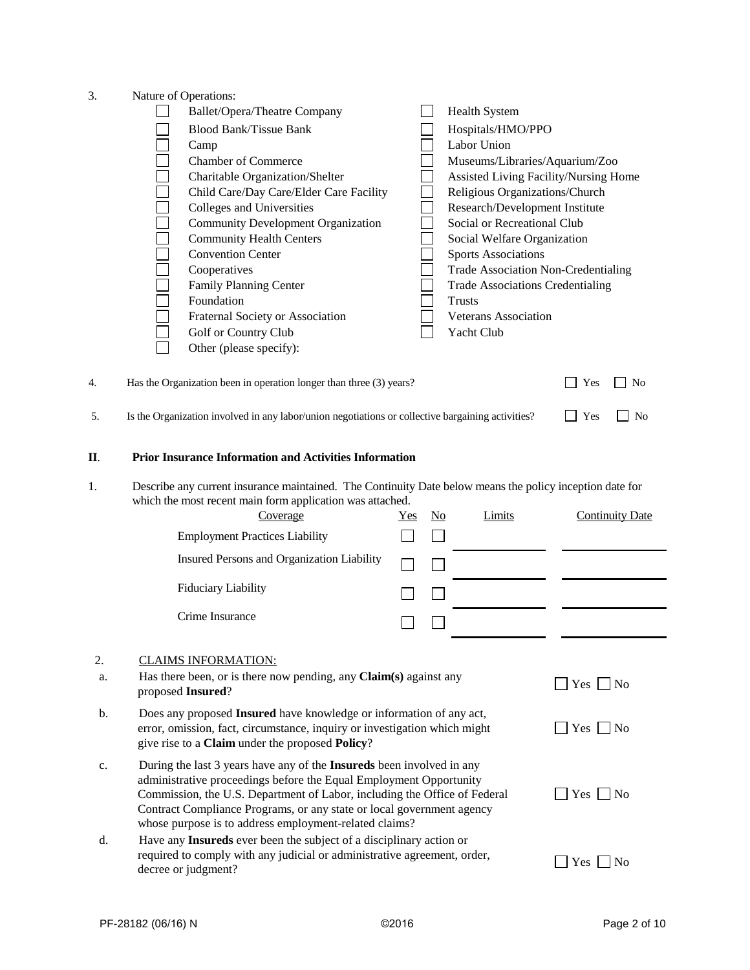3. Nature of Operations:

| <b>Blood Bank/Tissue Bank</b><br>Hospitals/HMO/PPO<br>Labor Union<br>Camp<br><b>Chamber of Commerce</b><br>Museums/Libraries/Aquarium/Zoo<br>Charitable Organization/Shelter<br>Assisted Living Facility/Nursing Home<br>Religious Organizations/Church<br>Child Care/Day Care/Elder Care Facility |                                      |
|----------------------------------------------------------------------------------------------------------------------------------------------------------------------------------------------------------------------------------------------------------------------------------------------------|--------------------------------------|
|                                                                                                                                                                                                                                                                                                    |                                      |
|                                                                                                                                                                                                                                                                                                    |                                      |
|                                                                                                                                                                                                                                                                                                    |                                      |
|                                                                                                                                                                                                                                                                                                    |                                      |
|                                                                                                                                                                                                                                                                                                    |                                      |
| Colleges and Universities<br>Research/Development Institute                                                                                                                                                                                                                                        |                                      |
| Social or Recreational Club<br><b>Community Development Organization</b>                                                                                                                                                                                                                           |                                      |
|                                                                                                                                                                                                                                                                                                    |                                      |
| <b>Community Health Centers</b><br>Social Welfare Organization                                                                                                                                                                                                                                     |                                      |
| <b>Convention Center</b><br><b>Sports Associations</b>                                                                                                                                                                                                                                             |                                      |
| Cooperatives<br><b>Trade Association Non-Credentialing</b>                                                                                                                                                                                                                                         |                                      |
| Family Planning Center<br><b>Trade Associations Credentialing</b>                                                                                                                                                                                                                                  |                                      |
| Foundation<br><b>Trusts</b>                                                                                                                                                                                                                                                                        |                                      |
| Fraternal Society or Association<br>Veterans Association                                                                                                                                                                                                                                           |                                      |
| Golf or Country Club<br>Yacht Club                                                                                                                                                                                                                                                                 |                                      |
| Other (please specify):                                                                                                                                                                                                                                                                            |                                      |
|                                                                                                                                                                                                                                                                                                    |                                      |
| Has the Organization been in operation longer than three (3) years?<br>4.                                                                                                                                                                                                                          | Yes<br><b>No</b>                     |
| Is the Organization involved in any labor/union negotiations or collective bargaining activities?<br>5.                                                                                                                                                                                            | Yes<br>No                            |
| <b>Prior Insurance Information and Activities Information</b><br>П.                                                                                                                                                                                                                                |                                      |
| Describe any current insurance maintained. The Continuity Date below means the policy inception date for<br>1.                                                                                                                                                                                     |                                      |
| which the most recent main form application was attached.                                                                                                                                                                                                                                          |                                      |
| Limits<br>Coverage<br><u>Yes</u><br>$\underline{\mathrm{No}}$                                                                                                                                                                                                                                      | <b>Continuity Date</b>               |
|                                                                                                                                                                                                                                                                                                    |                                      |
|                                                                                                                                                                                                                                                                                                    |                                      |
| <b>Employment Practices Liability</b>                                                                                                                                                                                                                                                              |                                      |
| Insured Persons and Organization Liability                                                                                                                                                                                                                                                         |                                      |
| <b>Fiduciary Liability</b>                                                                                                                                                                                                                                                                         |                                      |
|                                                                                                                                                                                                                                                                                                    |                                      |
| Crime Insurance                                                                                                                                                                                                                                                                                    |                                      |
|                                                                                                                                                                                                                                                                                                    |                                      |
| 2.<br><b>CLAIMS INFORMATION:</b>                                                                                                                                                                                                                                                                   |                                      |
| Has there been, or is there now pending, any Claim(s) against any<br>a.                                                                                                                                                                                                                            | $Yes \Box No$                        |
| proposed Insured?                                                                                                                                                                                                                                                                                  |                                      |
| Does any proposed Insured have knowledge or information of any act,<br>b.                                                                                                                                                                                                                          |                                      |
| error, omission, fact, circumstance, inquiry or investigation which might                                                                                                                                                                                                                          | $Yes \tNo$                           |
| give rise to a Claim under the proposed Policy?                                                                                                                                                                                                                                                    |                                      |
|                                                                                                                                                                                                                                                                                                    |                                      |
| During the last 3 years have any of the Insureds been involved in any<br>c.                                                                                                                                                                                                                        |                                      |
| administrative proceedings before the Equal Employment Opportunity                                                                                                                                                                                                                                 |                                      |
| Commission, the U.S. Department of Labor, including the Office of Federal                                                                                                                                                                                                                          | $\blacksquare$ Yes $\blacksquare$ No |
| Contract Compliance Programs, or any state or local government agency                                                                                                                                                                                                                              |                                      |
| whose purpose is to address employment-related claims?                                                                                                                                                                                                                                             |                                      |
| Have any Insureds ever been the subject of a disciplinary action or<br>d.<br>required to comply with any judicial or administrative agreement, order,                                                                                                                                              | $\blacksquare$ Yes $\blacksquare$ No |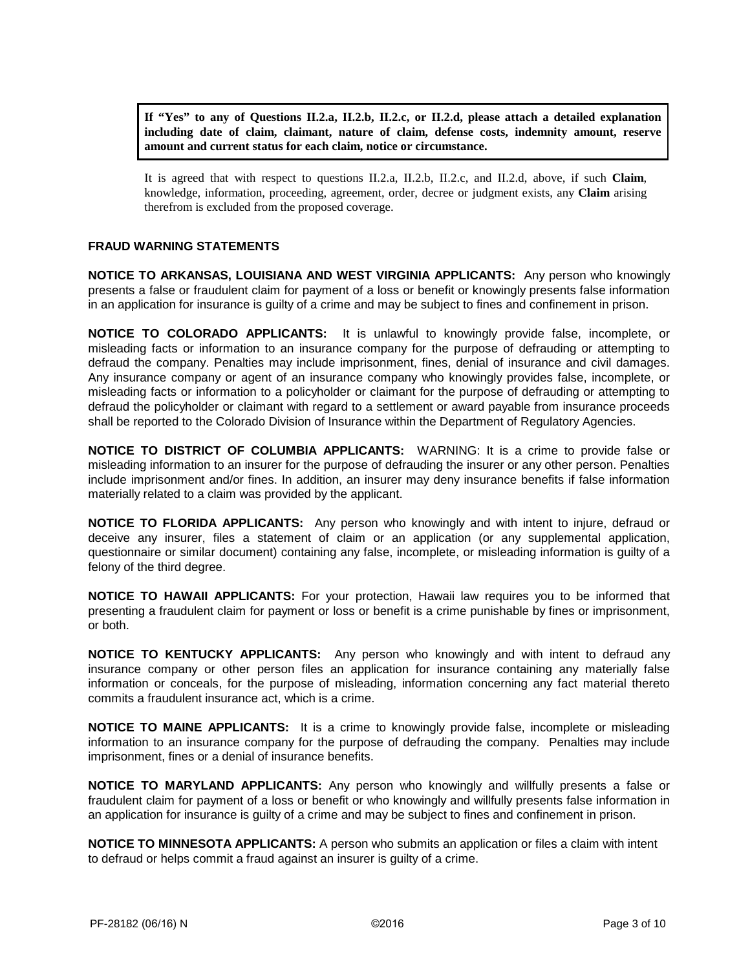**If "Yes" to any of Questions II.2.a, II.2.b, II.2.c, or II.2.d, please attach a detailed explanation including date of claim, claimant, nature of claim, defense costs, indemnity amount, reserve amount and current status for each claim, notice or circumstance.**

It is agreed that with respect to questions II.2.a, II.2.b, II.2.c, and II.2.d, above, if such **Claim**, knowledge, information, proceeding, agreement, order, decree or judgment exists, any **Claim** arising therefrom is excluded from the proposed coverage.

## **FRAUD WARNING STATEMENTS**

**NOTICE TO ARKANSAS, LOUISIANA AND WEST VIRGINIA APPLICANTS:** Any person who knowingly presents a false or fraudulent claim for payment of a loss or benefit or knowingly presents false information in an application for insurance is guilty of a crime and may be subject to fines and confinement in prison.

**NOTICE TO COLORADO APPLICANTS:** It is unlawful to knowingly provide false, incomplete, or misleading facts or information to an insurance company for the purpose of defrauding or attempting to defraud the company. Penalties may include imprisonment, fines, denial of insurance and civil damages. Any insurance company or agent of an insurance company who knowingly provides false, incomplete, or misleading facts or information to a policyholder or claimant for the purpose of defrauding or attempting to defraud the policyholder or claimant with regard to a settlement or award payable from insurance proceeds shall be reported to the Colorado Division of Insurance within the Department of Regulatory Agencies.

**NOTICE TO DISTRICT OF COLUMBIA APPLICANTS:** WARNING: It is a crime to provide false or misleading information to an insurer for the purpose of defrauding the insurer or any other person. Penalties include imprisonment and/or fines. In addition, an insurer may deny insurance benefits if false information materially related to a claim was provided by the applicant.

**NOTICE TO FLORIDA APPLICANTS:** Any person who knowingly and with intent to injure, defraud or deceive any insurer, files a statement of claim or an application (or any supplemental application, questionnaire or similar document) containing any false, incomplete, or misleading information is guilty of a felony of the third degree.

**NOTICE TO HAWAII APPLICANTS:** For your protection, Hawaii law requires you to be informed that presenting a fraudulent claim for payment or loss or benefit is a crime punishable by fines or imprisonment, or both.

**NOTICE TO KENTUCKY APPLICANTS:** Any person who knowingly and with intent to defraud any insurance company or other person files an application for insurance containing any materially false information or conceals, for the purpose of misleading, information concerning any fact material thereto commits a fraudulent insurance act, which is a crime.

**NOTICE TO MAINE APPLICANTS:** It is a crime to knowingly provide false, incomplete or misleading information to an insurance company for the purpose of defrauding the company. Penalties may include imprisonment, fines or a denial of insurance benefits.

**NOTICE TO MARYLAND APPLICANTS:** Any person who knowingly and willfully presents a false or fraudulent claim for payment of a loss or benefit or who knowingly and willfully presents false information in an application for insurance is guilty of a crime and may be subject to fines and confinement in prison.

**NOTICE TO MINNESOTA APPLICANTS:** A person who submits an application or files a claim with intent to defraud or helps commit a fraud against an insurer is guilty of a crime.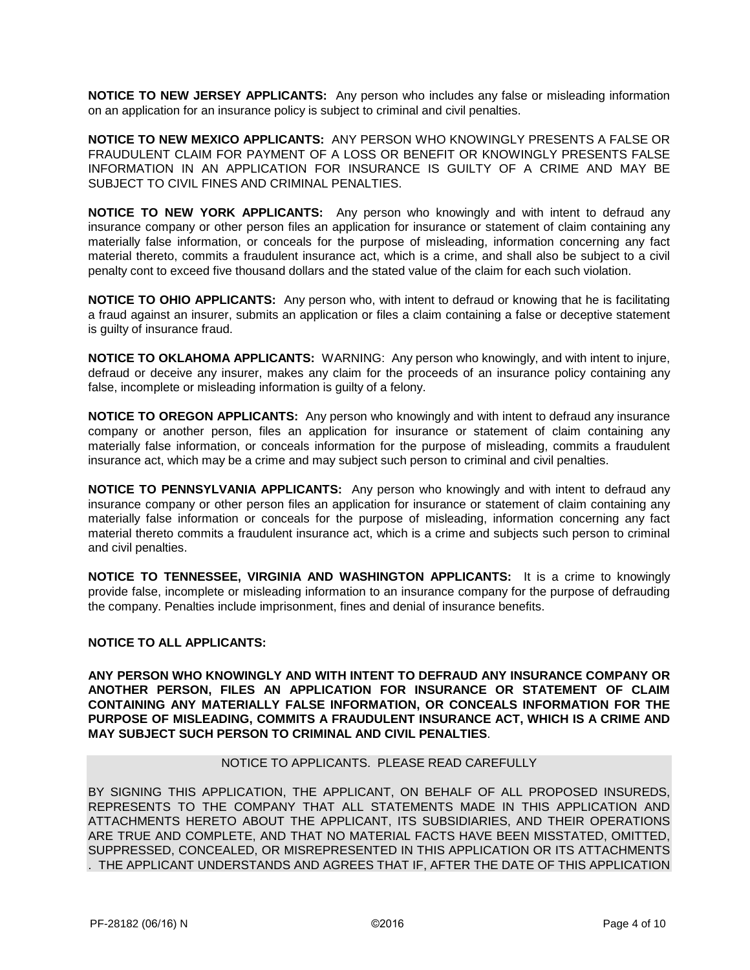**NOTICE TO NEW JERSEY APPLICANTS:** Any person who includes any false or misleading information on an application for an insurance policy is subject to criminal and civil penalties.

**NOTICE TO NEW MEXICO APPLICANTS:** ANY PERSON WHO KNOWINGLY PRESENTS A FALSE OR FRAUDULENT CLAIM FOR PAYMENT OF A LOSS OR BENEFIT OR KNOWINGLY PRESENTS FALSE INFORMATION IN AN APPLICATION FOR INSURANCE IS GUILTY OF A CRIME AND MAY BE SUBJECT TO CIVIL FINES AND CRIMINAL PENALTIES.

**NOTICE TO NEW YORK APPLICANTS:** Any person who knowingly and with intent to defraud any insurance company or other person files an application for insurance or statement of claim containing any materially false information, or conceals for the purpose of misleading, information concerning any fact material thereto, commits a fraudulent insurance act, which is a crime, and shall also be subject to a civil penalty cont to exceed five thousand dollars and the stated value of the claim for each such violation.

**NOTICE TO OHIO APPLICANTS:** Any person who, with intent to defraud or knowing that he is facilitating a fraud against an insurer, submits an application or files a claim containing a false or deceptive statement is guilty of insurance fraud.

**NOTICE TO OKLAHOMA APPLICANTS:** WARNING: Any person who knowingly, and with intent to injure, defraud or deceive any insurer, makes any claim for the proceeds of an insurance policy containing any false, incomplete or misleading information is guilty of a felony.

**NOTICE TO OREGON APPLICANTS:** Any person who knowingly and with intent to defraud any insurance company or another person, files an application for insurance or statement of claim containing any materially false information, or conceals information for the purpose of misleading, commits a fraudulent insurance act, which may be a crime and may subject such person to criminal and civil penalties.

**NOTICE TO PENNSYLVANIA APPLICANTS:** Any person who knowingly and with intent to defraud any insurance company or other person files an application for insurance or statement of claim containing any materially false information or conceals for the purpose of misleading, information concerning any fact material thereto commits a fraudulent insurance act, which is a crime and subjects such person to criminal and civil penalties.

**NOTICE TO TENNESSEE, VIRGINIA AND WASHINGTON APPLICANTS:** It is a crime to knowingly provide false, incomplete or misleading information to an insurance company for the purpose of defrauding the company. Penalties include imprisonment, fines and denial of insurance benefits.

## **NOTICE TO ALL APPLICANTS:**

**ANY PERSON WHO KNOWINGLY AND WITH INTENT TO DEFRAUD ANY INSURANCE COMPANY OR ANOTHER PERSON, FILES AN APPLICATION FOR INSURANCE OR STATEMENT OF CLAIM CONTAINING ANY MATERIALLY FALSE INFORMATION, OR CONCEALS INFORMATION FOR THE PURPOSE OF MISLEADING, COMMITS A FRAUDULENT INSURANCE ACT, WHICH IS A CRIME AND MAY SUBJECT SUCH PERSON TO CRIMINAL AND CIVIL PENALTIES**.

#### NOTICE TO APPLICANTS. PLEASE READ CAREFULLY

BY SIGNING THIS APPLICATION, THE APPLICANT, ON BEHALF OF ALL PROPOSED INSUREDS, REPRESENTS TO THE COMPANY THAT ALL STATEMENTS MADE IN THIS APPLICATION AND ATTACHMENTS HERETO ABOUT THE APPLICANT, ITS SUBSIDIARIES, AND THEIR OPERATIONS ARE TRUE AND COMPLETE, AND THAT NO MATERIAL FACTS HAVE BEEN MISSTATED, OMITTED, SUPPRESSED, CONCEALED, OR MISREPRESENTED IN THIS APPLICATION OR ITS ATTACHMENTS . THE APPLICANT UNDERSTANDS AND AGREES THAT IF, AFTER THE DATE OF THIS APPLICATION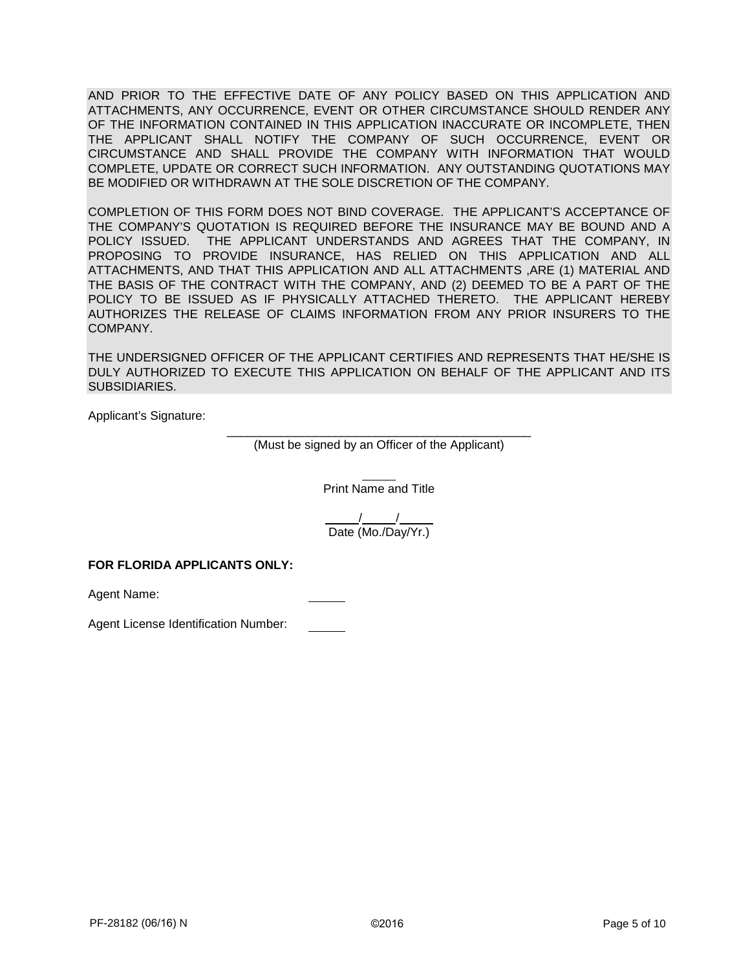AND PRIOR TO THE EFFECTIVE DATE OF ANY POLICY BASED ON THIS APPLICATION AND ATTACHMENTS, ANY OCCURRENCE, EVENT OR OTHER CIRCUMSTANCE SHOULD RENDER ANY OF THE INFORMATION CONTAINED IN THIS APPLICATION INACCURATE OR INCOMPLETE, THEN THE APPLICANT SHALL NOTIFY THE COMPANY OF SUCH OCCURRENCE, EVENT OR CIRCUMSTANCE AND SHALL PROVIDE THE COMPANY WITH INFORMATION THAT WOULD COMPLETE, UPDATE OR CORRECT SUCH INFORMATION. ANY OUTSTANDING QUOTATIONS MAY BE MODIFIED OR WITHDRAWN AT THE SOLE DISCRETION OF THE COMPANY.

COMPLETION OF THIS FORM DOES NOT BIND COVERAGE. THE APPLICANT'S ACCEPTANCE OF THE COMPANY'S QUOTATION IS REQUIRED BEFORE THE INSURANCE MAY BE BOUND AND A POLICY ISSUED. THE APPLICANT UNDERSTANDS AND AGREES THAT THE COMPANY, IN PROPOSING TO PROVIDE INSURANCE, HAS RELIED ON THIS APPLICATION AND ALL ATTACHMENTS, AND THAT THIS APPLICATION AND ALL ATTACHMENTS ,ARE (1) MATERIAL AND THE BASIS OF THE CONTRACT WITH THE COMPANY, AND (2) DEEMED TO BE A PART OF THE POLICY TO BE ISSUED AS IF PHYSICALLY ATTACHED THERETO. THE APPLICANT HEREBY AUTHORIZES THE RELEASE OF CLAIMS INFORMATION FROM ANY PRIOR INSURERS TO THE COMPANY.

THE UNDERSIGNED OFFICER OF THE APPLICANT CERTIFIES AND REPRESENTS THAT HE/SHE IS DULY AUTHORIZED TO EXECUTE THIS APPLICATION ON BEHALF OF THE APPLICANT AND ITS SUBSIDIARIES.

Applicant's Signature:

\_\_\_\_\_\_\_\_\_\_\_\_\_\_\_\_\_\_\_\_\_\_\_\_\_\_\_\_\_\_\_\_\_\_\_\_\_\_\_\_\_\_\_\_\_ (Must be signed by an Officer of the Applicant)

Print Name and Title

 / / Date (Mo./Day/Yr.)

## **FOR FLORIDA APPLICANTS ONLY:**

Agent Name:

Agent License Identification Number: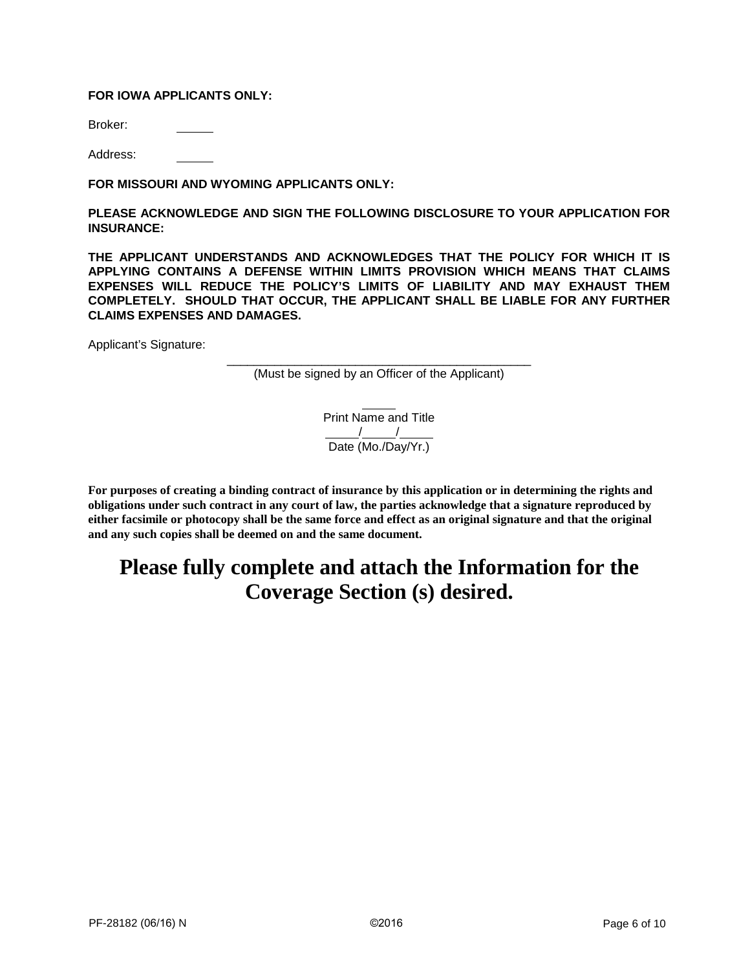## **FOR IOWA APPLICANTS ONLY:**

Broker:

Address:

**FOR MISSOURI AND WYOMING APPLICANTS ONLY:**

**PLEASE ACKNOWLEDGE AND SIGN THE FOLLOWING DISCLOSURE TO YOUR APPLICATION FOR INSURANCE:**

**THE APPLICANT UNDERSTANDS AND ACKNOWLEDGES THAT THE POLICY FOR WHICH IT IS APPLYING CONTAINS A DEFENSE WITHIN LIMITS PROVISION WHICH MEANS THAT CLAIMS EXPENSES WILL REDUCE THE POLICY'S LIMITS OF LIABILITY AND MAY EXHAUST THEM COMPLETELY. SHOULD THAT OCCUR, THE APPLICANT SHALL BE LIABLE FOR ANY FURTHER CLAIMS EXPENSES AND DAMAGES.**

Applicant's Signature:

\_\_\_\_\_\_\_\_\_\_\_\_\_\_\_\_\_\_\_\_\_\_\_\_\_\_\_\_\_\_\_\_\_\_\_\_\_\_\_\_\_\_\_\_\_ (Must be signed by an Officer of the Applicant)

> Print Name and Title / / Date (Mo./Day/Yr.)

**For purposes of creating a binding contract of insurance by this application or in determining the rights and obligations under such contract in any court of law, the parties acknowledge that a signature reproduced by either facsimile or photocopy shall be the same force and effect as an original signature and that the original and any such copies shall be deemed on and the same document.**

# **Please fully complete and attach the Information for the Coverage Section (s) desired.**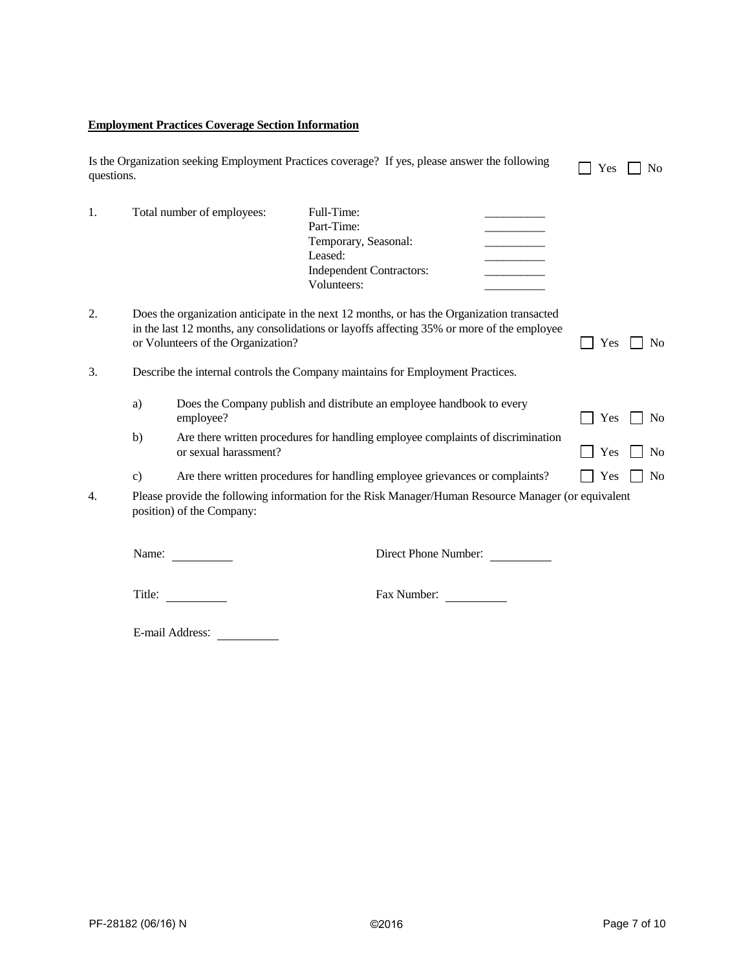## **Employment Practices Coverage Section Information**

| Is the Organization seeking Employment Practices coverage? If yes, please answer the following<br>questions. |               |                                    |                                                                                                                                                                                          |  |     | N <sub>0</sub> |
|--------------------------------------------------------------------------------------------------------------|---------------|------------------------------------|------------------------------------------------------------------------------------------------------------------------------------------------------------------------------------------|--|-----|----------------|
| 1.                                                                                                           |               | Total number of employees:         | Full-Time:<br>Part-Time:<br>Temporary, Seasonal:<br>Leased:<br><b>Independent Contractors:</b><br>Volunteers:                                                                            |  |     |                |
| 2.                                                                                                           |               | or Volunteers of the Organization? | Does the organization anticipate in the next 12 months, or has the Organization transacted<br>in the last 12 months, any consolidations or layoffs affecting 35% or more of the employee |  | Yes | No             |
| 3.                                                                                                           |               |                                    | Describe the internal controls the Company maintains for Employment Practices.                                                                                                           |  |     |                |
|                                                                                                              | a)            | employee?                          | Does the Company publish and distribute an employee handbook to every                                                                                                                    |  | Yes | N <sub>0</sub> |
|                                                                                                              | b)            | or sexual harassment?              | Are there written procedures for handling employee complaints of discrimination                                                                                                          |  | Yes | N <sub>0</sub> |
|                                                                                                              | $\mathbf{c})$ |                                    | Are there written procedures for handling employee grievances or complaints?                                                                                                             |  | Yes | N <sub>o</sub> |
| 4.                                                                                                           |               | position) of the Company:          | Please provide the following information for the Risk Manager/Human Resource Manager (or equivalent                                                                                      |  |     |                |
|                                                                                                              | Name:         |                                    | Direct Phone Number:                                                                                                                                                                     |  |     |                |
|                                                                                                              | Title:        |                                    | Fax Number:                                                                                                                                                                              |  |     |                |

E-mail Address: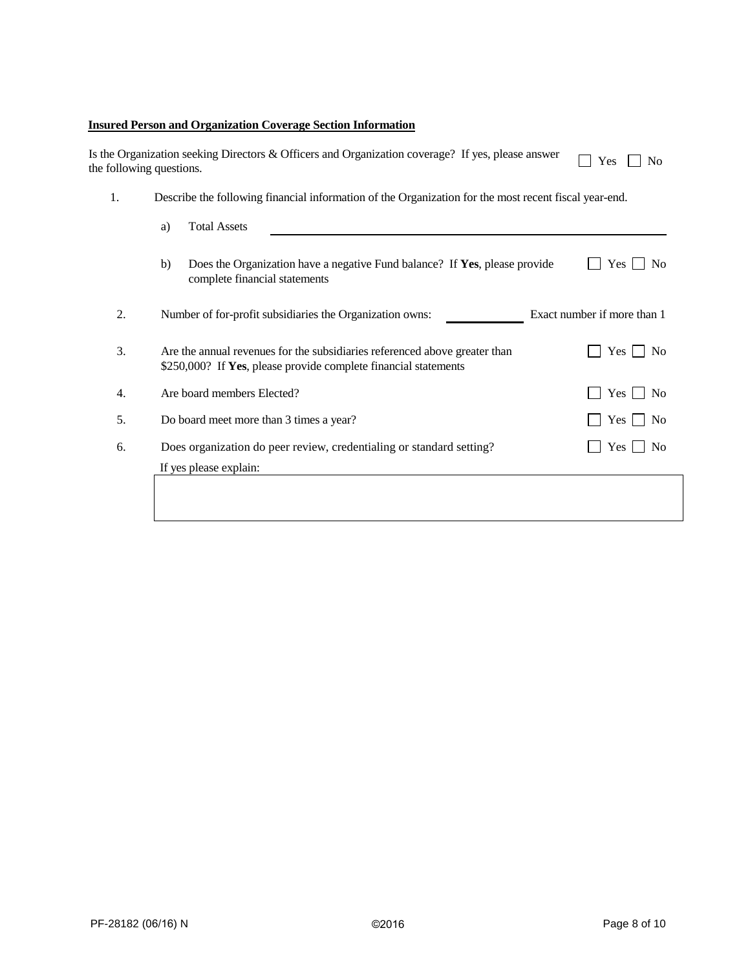## **Insured Person and Organization Coverage Section Information**

|    | Is the Organization seeking Directors & Officers and Organization coverage? If yes, please answer<br>the following questions.                 | Yes<br>N <sub>0</sub>       |
|----|-----------------------------------------------------------------------------------------------------------------------------------------------|-----------------------------|
| 1. | Describe the following financial information of the Organization for the most recent fiscal year-end.                                         |                             |
|    | <b>Total Assets</b><br>a)                                                                                                                     |                             |
|    | b)<br>Does the Organization have a negative Fund balance? If Yes, please provide<br>complete financial statements                             | Yes<br>N <sub>0</sub>       |
| 2. | Number of for-profit subsidiaries the Organization owns:                                                                                      | Exact number if more than 1 |
| 3. | Are the annual revenues for the subsidiaries referenced above greater than<br>\$250,000? If Yes, please provide complete financial statements | $Yes \mid$<br>No            |
| 4. | Are board members Elected?                                                                                                                    | Yes  <br>N <sub>0</sub>     |
| 5. | Do board meet more than 3 times a year?                                                                                                       | Yes  <br>No                 |
| 6. | Does organization do peer review, credentialing or standard setting?                                                                          | Yes<br>N <sub>0</sub>       |
|    | If yes please explain:                                                                                                                        |                             |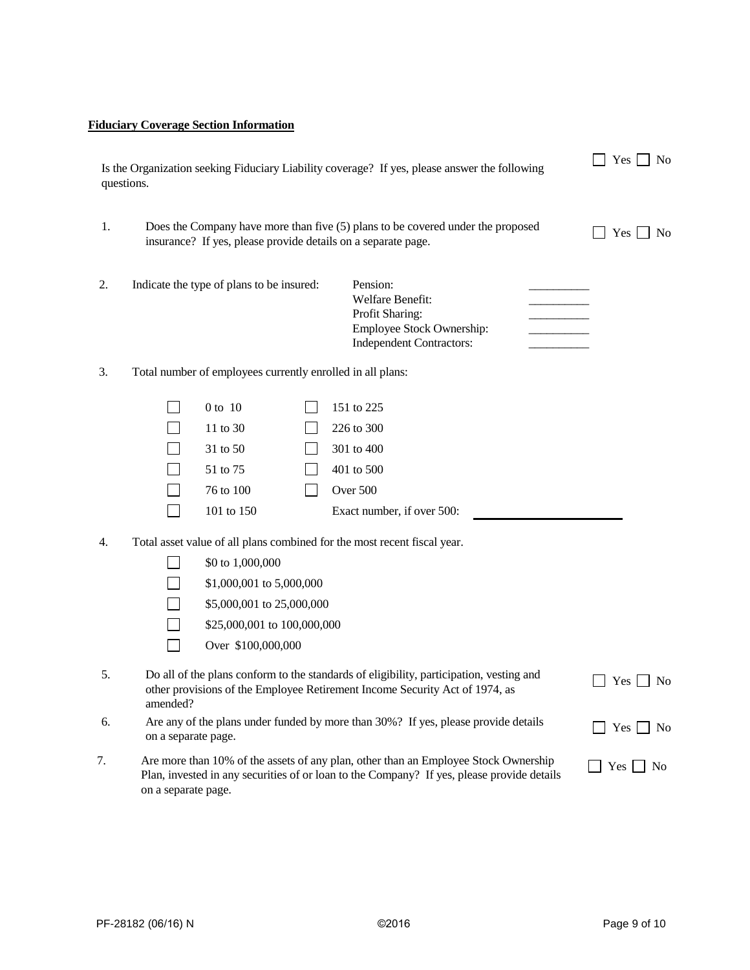## **Fiduciary Coverage Section Information**

| Is the Organization seeking Fiduciary Liability coverage? If yes, please answer the following<br>questions. |                     |                                                                                                                                                                                    |  | $Yes \bigsqcup No$                                                                                                                                                                |                    |
|-------------------------------------------------------------------------------------------------------------|---------------------|------------------------------------------------------------------------------------------------------------------------------------------------------------------------------------|--|-----------------------------------------------------------------------------------------------------------------------------------------------------------------------------------|--------------------|
| 1.                                                                                                          |                     | insurance? If yes, please provide details on a separate page.                                                                                                                      |  | Does the Company have more than five (5) plans to be covered under the proposed                                                                                                   | $Yes \mid \mid No$ |
| 2.                                                                                                          |                     | Indicate the type of plans to be insured:                                                                                                                                          |  | Pension:<br>Welfare Benefit:<br>Profit Sharing:<br>Employee Stock Ownership:<br><b>Independent Contractors:</b>                                                                   |                    |
| 3.                                                                                                          |                     | Total number of employees currently enrolled in all plans:                                                                                                                         |  |                                                                                                                                                                                   |                    |
| 4.                                                                                                          |                     | 0 to 10<br>11 to 30<br>31 to 50<br>51 to 75<br>76 to 100<br>101 to 150<br>\$0 to 1,000,000<br>\$1,000,001 to 5,000,000<br>\$5,000,001 to 25,000,000<br>\$25,000,001 to 100,000,000 |  | 151 to 225<br>226 to 300<br>301 to 400<br>401 to 500<br>Over 500<br>Exact number, if over 500:<br>Total asset value of all plans combined for the most recent fiscal year.        |                    |
| 5.                                                                                                          |                     | Over \$100,000,000                                                                                                                                                                 |  | Do all of the plans conform to the standards of eligibility, participation, vesting and                                                                                           | $Yes \tNo$         |
|                                                                                                             | amended?            |                                                                                                                                                                                    |  | other provisions of the Employee Retirement Income Security Act of 1974, as                                                                                                       |                    |
| 6.                                                                                                          | on a separate page. |                                                                                                                                                                                    |  | Are any of the plans under funded by more than 30%? If yes, please provide details                                                                                                | $Yes \tN$          |
| 7.                                                                                                          |                     |                                                                                                                                                                                    |  | Are more than 10% of the assets of any plan, other than an Employee Stock Ownership<br>Plan, invested in any securities of or loan to the Company? If yes, please provide details | Yes  <br>  No      |

on a separate page.